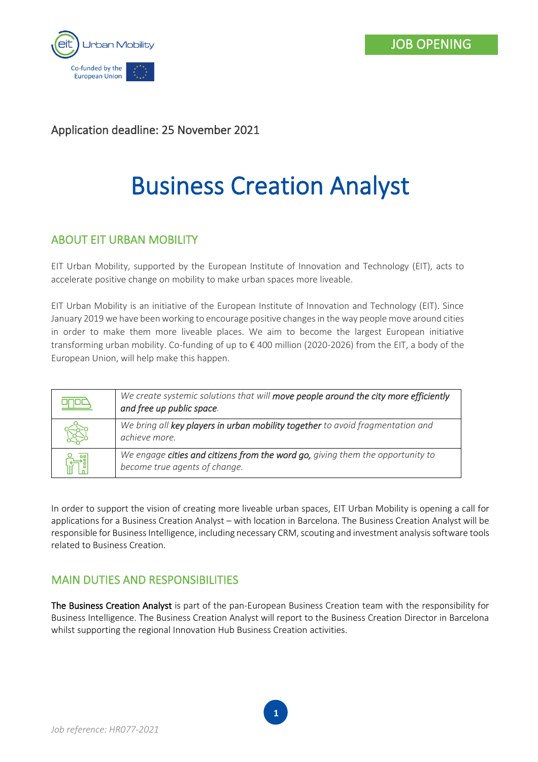

## Application deadline: 25 November 2021

# Business Creation Analyst

# ABOUT EIT URBAN MOBILITY

EIT Urban Mobility, supported by the European Institute of Innovation and Technology (EIT), acts to accelerate positive change on mobility to make urban spaces more liveable.

EIT Urban Mobility is an initiative of the European Institute of Innovation and Technology (EIT). Since January 2019 we have been working to encourage positive changes in the way people move around cities in order to make them more liveable places. We aim to become the largest European initiative transforming urban mobility. Co-funding of up to € 400 million (2020-2026) from the EIT, a body of the European Union, will help make this happen.

| We create systemic solutions that will move people around the city more efficiently<br>and free up public space. |
|------------------------------------------------------------------------------------------------------------------|
| We bring all key players in urban mobility together to avoid fragmentation and<br>achieve more.                  |
| We engage cities and citizens from the word go, giving them the opportunity to<br>become true agents of change.  |

In order to support the vision of creating more liveable urban spaces, EIT Urban Mobility is opening a call for applications for a Business Creation Analyst – with location in Barcelona. The Business Creation Analyst will be responsible for Business Intelligence, including necessary CRM, scouting and investment analysis software tools related to Business Creation.

# MAIN DUTIES AND RESPONSIBILITIES

The Business Creation Analyst is part of the pan-European Business Creation team with the responsibility for Business Intelligence. The Business Creation Analyst will report to the Business Creation Director in Barcelona whilst supporting the regional Innovation Hub Business Creation activities.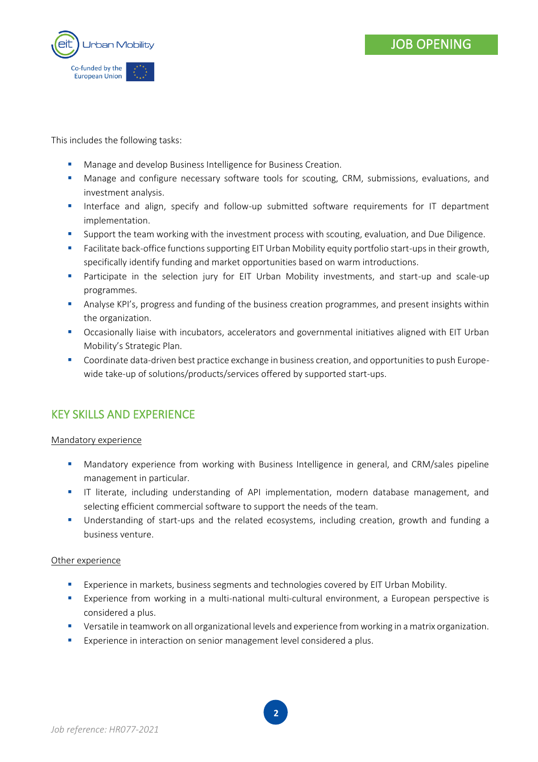

This includes the following tasks:

- Manage and develop Business Intelligence for Business Creation.
- **■** Manage and configure necessary software tools for scouting, CRM, submissions, evaluations, and investment analysis.
- **■** Interface and align, specify and follow-up submitted software requirements for IT department implementation.
- Support the team working with the investment process with scouting, evaluation, and Due Diligence.
- **■** Facilitate back-office functions supporting EIT Urban Mobility equity portfolio start-ups in their growth, specifically identify funding and market opportunities based on warm introductions.
- **■** Participate in the selection jury for EIT Urban Mobility investments, and start-up and scale-up programmes.
- Analyse KPI's, progress and funding of the business creation programmes, and present insights within the organization.
- Occasionally liaise with incubators, accelerators and governmental initiatives aligned with EIT Urban Mobility's Strategic Plan.
- Coordinate data-driven best practice exchange in business creation, and opportunities to push Europewide take-up of solutions/products/services offered by supported start-ups.

# KEY SKILLS AND EXPERIENCE

### Mandatory experience

- **■** Mandatory experience from working with Business Intelligence in general, and CRM/sales pipeline management in particular.
- **•** IT literate, including understanding of API implementation, modern database management, and selecting efficient commercial software to support the needs of the team.
- Understanding of start-ups and the related ecosystems, including creation, growth and funding a business venture.

#### Other experience

- **Experience in markets, business segments and technologies covered by EIT Urban Mobility.**
- **Experience from working in a multi-national multi-cultural environment, a European perspective is** considered a plus.
- **E** Versatile in teamwork on all organizational levels and experience from working in a matrix organization.
- **EXPERIEGE 2018** Experience in interaction on senior management level considered a plus.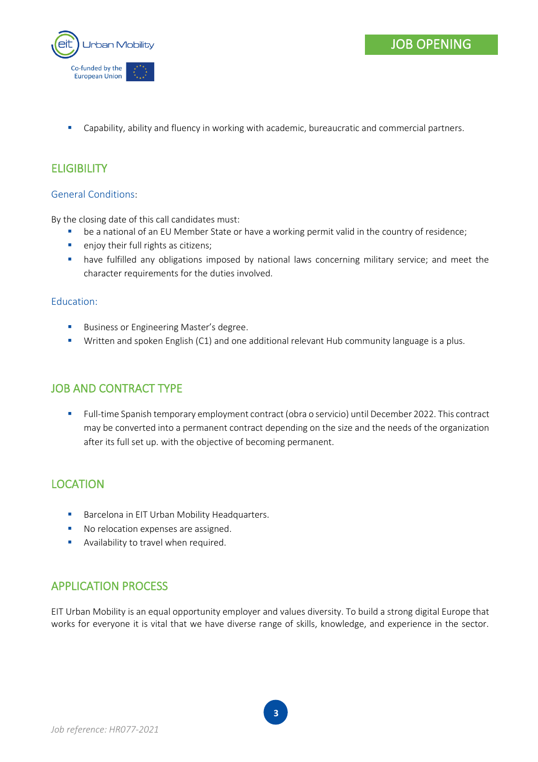

**•** Capability, ability and fluency in working with academic, bureaucratic and commercial partners.

# **ELIGIBILITY**

## General Conditions:

By the closing date of this call candidates must:

- be a national of an EU Member State or have a working permit valid in the country of residence;
- enjoy their full rights as citizens;
- **.** have fulfilled any obligations imposed by national laws concerning military service; and meet the character requirements for the duties involved.

### Education:

- Business or Engineering Master's degree.
- Written and spoken English (C1) and one additional relevant Hub community language is a plus.

## JOB AND CONTRACT TYPE

▪ Full-time Spanish temporary employment contract (obra o servicio) until December 2022. This contract may be converted into a permanent contract depending on the size and the needs of the organization after its full set up. with the objective of becoming permanent.

## **LOCATION**

- Barcelona in EIT Urban Mobility Headquarters.
- No relocation expenses are assigned.
- **EXEDENT** Availability to travel when required.

## APPLICATION PROCESS

EIT Urban Mobility is an equal opportunity employer and values diversity. To build a strong digital Europe that works for everyone it is vital that we have diverse range of skills, knowledge, and experience in the sector.